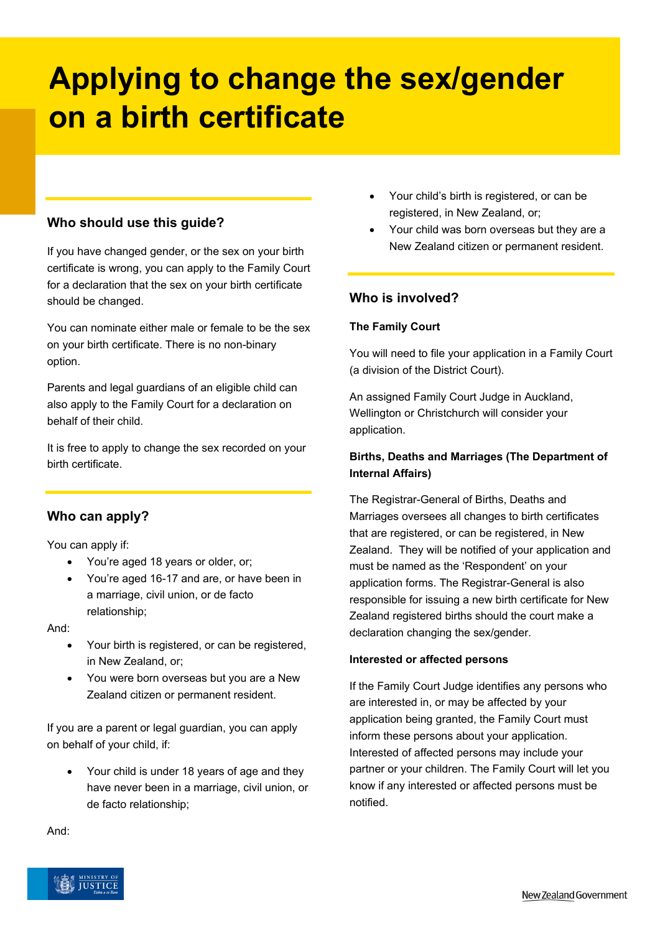# **Applying to change the sex/gender on a birth certificate**

# **Who should use this guide?**

If you have changed gender, or the sex on your birth certificate is wrong, you can apply to the Family Court for a declaration that the sex on your birth certificate should be changed.

You can nominate either male or female to be the sex on your birth certificate. There is no non-binary option.

Parents and legal guardians of an eligible child can also apply to the Family Court for a declaration on behalf of their child.

It is free to apply to change the sex recorded on your birth certificate.

# **Who can apply?**

You can apply if:

- You're aged 18 years or older, or;
- You're aged 16-17 and are, or have been in a marriage, civil union, or de facto relationship;

And:

- Your birth is registered, or can be registered, in New Zealand, or;
- You were born overseas but you are a New Zealand citizen or permanent resident.

If you are a parent or legal guardian, you can apply on behalf of your child, if:

• Your child is under 18 years of age and they have never been in a marriage, civil union, or de facto relationship;

- Your child's birth is registered, or can be registered, in New Zealand, or;
- Your child was born overseas but they are a New Zealand citizen or permanent resident.

# **Who is involved?**

### **The Family Court**

You will need to file your application in a Family Court (a division of the District Court).

An assigned Family Court Judge in Auckland, Wellington or Christchurch will consider your application.

# **Births, Deaths and Marriages (The Department of Internal Affairs)**

The Registrar-General of Births, Deaths and Marriages oversees all changes to birth certificates that are registered, or can be registered, in New Zealand. They will be notified of your application and must be named as the 'Respondent' on your application forms. The Registrar-General is also responsible for issuing a new birth certificate for New Zealand registered births should the court make a declaration changing the sex/gender.

#### **Interested or affected persons**

If the Family Court Judge identifies any persons who are interested in, or may be affected by your application being granted, the Family Court must inform these persons about your application. Interested of affected persons may include your partner or your children. The Family Court will let you know if any interested or affected persons must be notified.



And: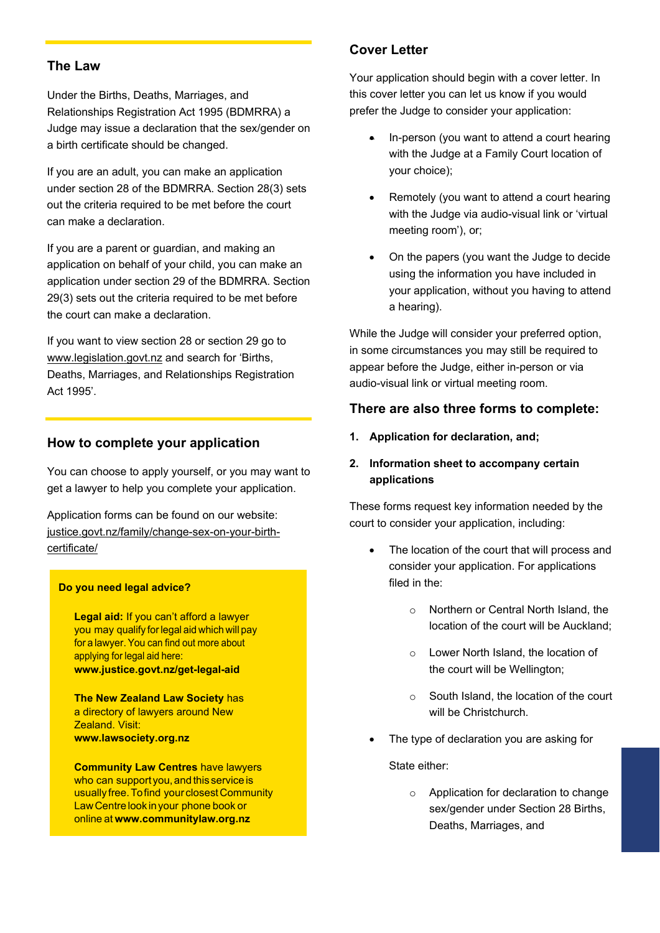## **The Law**

Under the Births, Deaths, Marriages, and Relationships Registration Act 1995 (BDMRRA) a Judge may issue a declaration that the sex/gender on a birth certificate should be changed.

If you are an adult, you can make an application under section 28 of the BDMRRA. Section 28(3) sets out the criteria required to be met before the court can make a declaration.

If you are a parent or guardian, and making an application on behalf of your child, you can make an application under section 29 of the BDMRRA. Section 29(3) sets out the criteria required to be met before the court can make a declaration.

If you want to view section 28 or section 29 go to [www.legislation.govt.nz](http://www.legislation.govt.nz/) and search for 'Births, Deaths, Marriages, and Relationships Registration Act 1995'.

## **How to complete your application**

You can choose to apply yourself, or you may want to get a lawyer to help you complete your application.

Application forms can be found on our website: justice.govt.nz/family/change-sex-on-your-birthcertificate/

#### **Do you need legal advice?**

**Legal aid:** If you can't afford a lawyer you may qualify forlegal aid which will pay for a lawyer.You can find out more about applying for legal aid here: **[www.justice.govt.nz/get-legal-aid](http://www.justice.govt.nz/get-legal-aid)**

**The New Zealand Law Society** has a directory of lawyers around New Zealand. Visit: **[www.lawsociety.org.nz](http://www.lawsociety.org.nz/)**

**Community Law Centres have lawyers** who can support you, and this service is usually free. To find your closest Community LawCentrelook inyour phone book or online at **[www.communitylaw.org.nz](http://www.communitylaw.org.nz/)**

# **Cover Letter**

Your application should begin with a cover letter. In this cover letter you can let us know if you would prefer the Judge to consider your application:

- In-person (you want to attend a court hearing with the Judge at a Family Court location of your choice);
- Remotely (you want to attend a court hearing with the Judge via audio-visual link or 'virtual meeting room'), or;
- On the papers (you want the Judge to decide using the information you have included in your application, without you having to attend a hearing).

While the Judge will consider your preferred option, in some circumstances you may still be required to appear before the Judge, either in-person or via audio-visual link or virtual meeting room.

## **There are also three forms to complete:**

- **1. Application for declaration, and;**
- **2. Information sheet to accompany certain applications**

These forms request key information needed by the court to consider your application, including:

- The location of the court that will process and consider your application. For applications filed in the:
	- o Northern or Central North Island, the location of the court will be Auckland;
	- o Lower North Island, the location of the court will be Wellington;
	- o South Island, the location of the court will be Christchurch.
- The type of declaration you are asking for

State either:

o Application for declaration to change sex/gender under Section 28 Births, Deaths, Marriages, and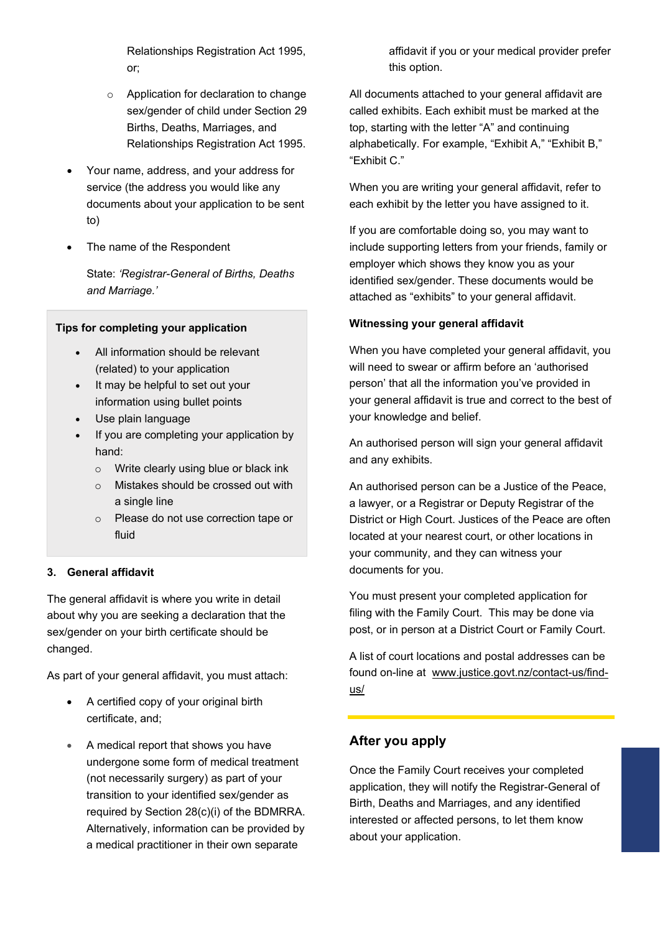Relationships Registration Act 1995, or;

- o Application for declaration to change sex/gender of child under Section 29 Births, Deaths, Marriages, and Relationships Registration Act 1995.
- Your name, address, and your address for service (the address you would like any documents about your application to be sent to)
- The name of the Respondent

State: *'Registrar-General of Births, Deaths and Marriage.'*

#### **Tips for completing your application**

- All information should be relevant (related) to your application
- It may be helpful to set out your information using bullet points
- Use plain language
- If you are completing your application by hand:
	- o Write clearly using blue or black ink
	- o Mistakes should be crossed out with a single line
	- o Please do not use correction tape or fluid

## **3. General affidavit**

The general affidavit is where you write in detail about why you are seeking a declaration that the sex/gender on your birth certificate should be changed.

As part of your general affidavit, you must attach:

- A certified copy of your original birth certificate, and;
- A medical report that shows you have undergone some form of medical treatment (not necessarily surgery) as part of your transition to your identified sex/gender as required by Section 28(c)(i) of the BDMRRA. Alternatively, information can be provided by a medical practitioner in their own separate

affidavit if you or your medical provider prefer this option.

All documents attached to your general affidavit are called exhibits. Each exhibit must be marked at the top, starting with the letter "A" and continuing alphabetically. For example, "Exhibit A," "Exhibit B," "Exhibit C."

When you are writing your general affidavit, refer to each exhibit by the letter you have assigned to it.

If you are comfortable doing so, you may want to include supporting letters from your friends, family or employer which shows they know you as your identified sex/gender. These documents would be attached as "exhibits" to your general affidavit.

#### **Witnessing your general affidavit**

When you have completed your general affidavit, you will need to swear or affirm before an 'authorised person' that all the information you've provided in your general affidavit is true and correct to the best of your knowledge and belief.

An authorised person will sign your general affidavit and any exhibits.

An authorised person can be a Justice of the Peace, a lawyer, or a Registrar or Deputy Registrar of the District or High Court. Justices of the Peace are often located at your nearest court, or other locations in your community, and they can witness your documents for you.

You must present your completed application for filing with the Family Court. This may be done via post, or in person at a District Court or Family Court.

A list of court locations and postal addresses can be found on-line at [www.justice.govt.nz/contact-us/find](http://www.justice.govt.nz/contact-us/find-us/)[us/](http://www.justice.govt.nz/contact-us/find-us/)

# **After you apply**

Once the Family Court receives your completed application, they will notify the Registrar-General of Birth, Deaths and Marriages, and any identified interested or affected persons, to let them know about your application.